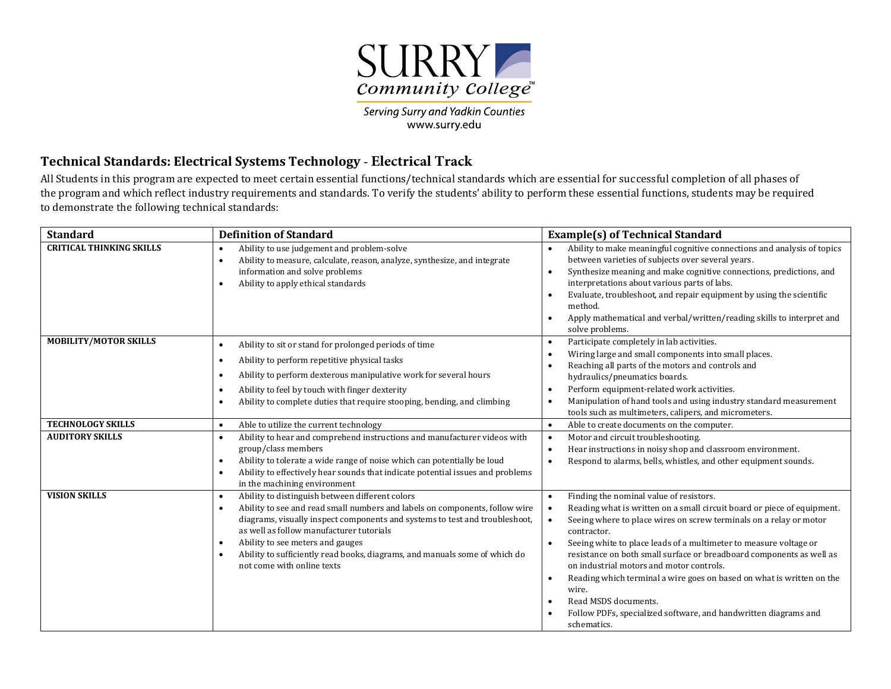

Serving Surry and Yadkin Counties www.surry.edu

## **Technical Standards: Electrical Systems Technology - Electrical Track**

All Students in this program are expected to meet certain essential functions/technical standards which are essential for successful completion of all phases of the program and which reflect industry requirements and standards. To verify the students' ability to perform these essential functions, students may be required to demonstrate the following technical standards:

| <b>Standard</b>                 | <b>Definition of Standard</b>                                                                                                                                                                                                                                                                                                                                                                                                                    | <b>Example(s) of Technical Standard</b>                                                                                                                                                                                                                                                                                                                                                                                                                                                                                                                                                           |
|---------------------------------|--------------------------------------------------------------------------------------------------------------------------------------------------------------------------------------------------------------------------------------------------------------------------------------------------------------------------------------------------------------------------------------------------------------------------------------------------|---------------------------------------------------------------------------------------------------------------------------------------------------------------------------------------------------------------------------------------------------------------------------------------------------------------------------------------------------------------------------------------------------------------------------------------------------------------------------------------------------------------------------------------------------------------------------------------------------|
| <b>CRITICAL THINKING SKILLS</b> | Ability to use judgement and problem-solve<br>٠<br>Ability to measure, calculate, reason, analyze, synthesize, and integrate<br>information and solve problems<br>Ability to apply ethical standards<br>$\bullet$                                                                                                                                                                                                                                | Ability to make meaningful cognitive connections and analysis of topics<br>between varieties of subjects over several years.<br>Synthesize meaning and make cognitive connections, predictions, and<br>interpretations about various parts of labs.<br>Evaluate, troubleshoot, and repair equipment by using the scientific<br>method.<br>Apply mathematical and verbal/written/reading skills to interpret and<br>solve problems.                                                                                                                                                                |
| <b>MOBILITY/MOTOR SKILLS</b>    | Ability to sit or stand for prolonged periods of time<br>٠<br>Ability to perform repetitive physical tasks<br>Ability to perform dexterous manipulative work for several hours<br>Ability to feel by touch with finger dexterity<br>٠<br>Ability to complete duties that require stooping, bending, and climbing                                                                                                                                 | Participate completely in lab activities.<br>Wiring large and small components into small places.<br>Reaching all parts of the motors and controls and<br>hydraulics/pneumatics boards.<br>Perform equipment-related work activities.<br>Manipulation of hand tools and using industry standard measurement<br>tools such as multimeters, calipers, and micrometers.                                                                                                                                                                                                                              |
| <b>TECHNOLOGY SKILLS</b>        | Able to utilize the current technology<br>$\bullet$                                                                                                                                                                                                                                                                                                                                                                                              | Able to create documents on the computer.                                                                                                                                                                                                                                                                                                                                                                                                                                                                                                                                                         |
| <b>AUDITORY SKILLS</b>          | Ability to hear and comprehend instructions and manufacturer videos with<br>$\bullet$<br>group/class members<br>Ability to tolerate a wide range of noise which can potentially be loud<br>$\bullet$<br>Ability to effectively hear sounds that indicate potential issues and problems<br>in the machining environment                                                                                                                           | Motor and circuit troubleshooting.<br>Hear instructions in noisy shop and classroom environment.<br>Respond to alarms, bells, whistles, and other equipment sounds.                                                                                                                                                                                                                                                                                                                                                                                                                               |
| <b>VISION SKILLS</b>            | Ability to distinguish between different colors<br>$\bullet$<br>Ability to see and read small numbers and labels on components, follow wire<br>$\bullet$<br>diagrams, visually inspect components and systems to test and troubleshoot,<br>as well as follow manufacturer tutorials<br>Ability to see meters and gauges<br>$\bullet$<br>Ability to sufficiently read books, diagrams, and manuals some of which do<br>not come with online texts | Finding the nominal value of resistors.<br>٠<br>Reading what is written on a small circuit board or piece of equipment.<br>Seeing where to place wires on screw terminals on a relay or motor<br>contractor.<br>Seeing white to place leads of a multimeter to measure voltage or<br>resistance on both small surface or breadboard components as well as<br>on industrial motors and motor controls.<br>Reading which terminal a wire goes on based on what is written on the<br>wire.<br>Read MSDS documents.<br>Follow PDFs, specialized software, and handwritten diagrams and<br>schematics. |